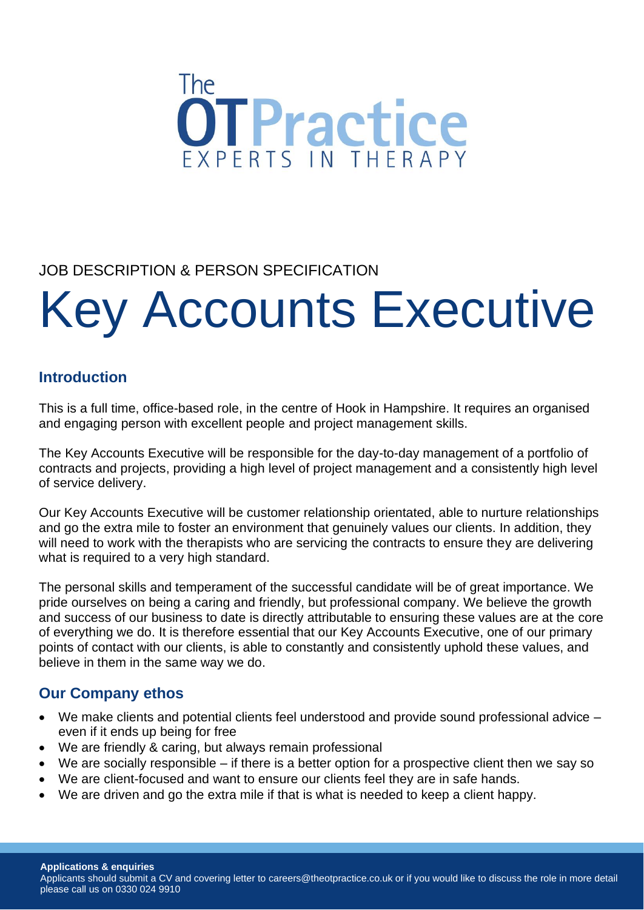

# JOB DESCRIPTION & PERSON SPECIFICATION

# Key Accounts Executive

# **Introduction**

This is a full time, office-based role, in the centre of Hook in Hampshire. It requires an organised and engaging person with excellent people and project management skills.

The Key Accounts Executive will be responsible for the day-to-day management of a portfolio of contracts and projects, providing a high level of project management and a consistently high level of service delivery.

Our Key Accounts Executive will be customer relationship orientated, able to nurture relationships and go the extra mile to foster an environment that genuinely values our clients. In addition, they will need to work with the therapists who are servicing the contracts to ensure they are delivering what is required to a very high standard.

The personal skills and temperament of the successful candidate will be of great importance. We pride ourselves on being a caring and friendly, but professional company. We believe the growth and success of our business to date is directly attributable to ensuring these values are at the core of everything we do. It is therefore essential that our Key Accounts Executive, one of our primary points of contact with our clients, is able to constantly and consistently uphold these values, and believe in them in the same way we do.

# **Our Company ethos**

- We make clients and potential clients feel understood and provide sound professional advice even if it ends up being for free
- We are friendly & caring, but always remain professional
- We are socially responsible if there is a better option for a prospective client then we say so
- We are client-focused and want to ensure our clients feel they are in safe hands.
- We are driven and go the extra mile if that is what is needed to keep a client happy.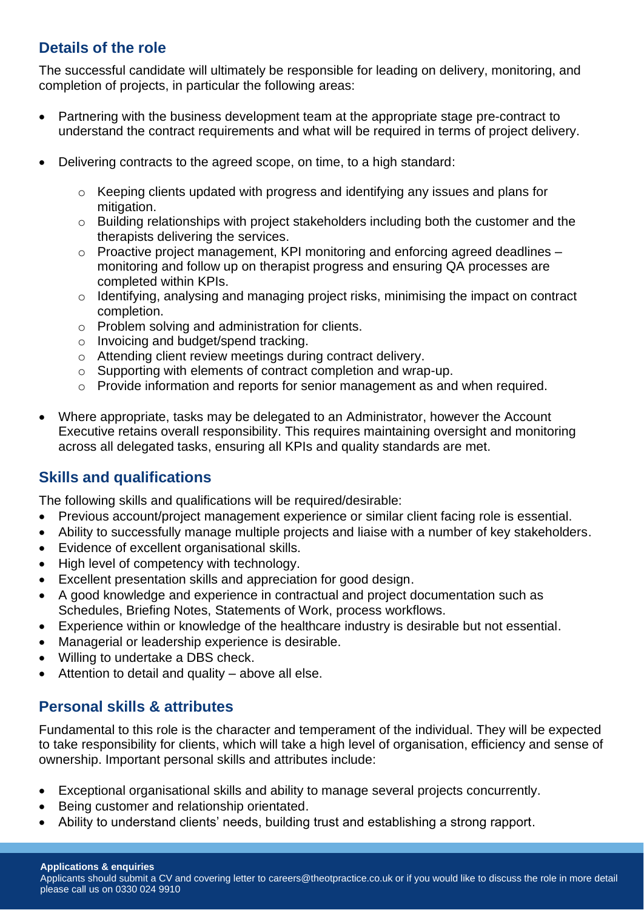# **Details of the role**

The successful candidate will ultimately be responsible for leading on delivery, monitoring, and completion of projects, in particular the following areas:

- Partnering with the business development team at the appropriate stage pre-contract to understand the contract requirements and what will be required in terms of project delivery.
- Delivering contracts to the agreed scope, on time, to a high standard:
	- o Keeping clients updated with progress and identifying any issues and plans for mitigation.
	- $\circ$  Building relationships with project stakeholders including both the customer and the therapists delivering the services.
	- o Proactive project management, KPI monitoring and enforcing agreed deadlines monitoring and follow up on therapist progress and ensuring QA processes are completed within KPIs.
	- o Identifying, analysing and managing project risks, minimising the impact on contract completion.
	- o Problem solving and administration for clients.
	- o Invoicing and budget/spend tracking.
	- o Attending client review meetings during contract delivery.
	- o Supporting with elements of contract completion and wrap-up.
	- o Provide information and reports for senior management as and when required.
- Where appropriate, tasks may be delegated to an Administrator, however the Account Executive retains overall responsibility. This requires maintaining oversight and monitoring across all delegated tasks, ensuring all KPIs and quality standards are met.

# **Skills and qualifications**

The following skills and qualifications will be required/desirable:

- Previous account/project management experience or similar client facing role is essential.
- Ability to successfully manage multiple projects and liaise with a number of key stakeholders.
- Evidence of excellent organisational skills.
- High level of competency with technology.
- Excellent presentation skills and appreciation for good design.
- A good knowledge and experience in contractual and project documentation such as Schedules, Briefing Notes, Statements of Work, process workflows.
- Experience within or knowledge of the healthcare industry is desirable but not essential.
- Managerial or leadership experience is desirable.
- Willing to undertake a DBS check.
- Attention to detail and quality  $-$  above all else.

# **Personal skills & attributes**

Fundamental to this role is the character and temperament of the individual. They will be expected to take responsibility for clients, which will take a high level of organisation, efficiency and sense of ownership. Important personal skills and attributes include:

- Exceptional organisational skills and ability to manage several projects concurrently.
- Being customer and relationship orientated.
- Ability to understand clients' needs, building trust and establishing a strong rapport.

Applicants should submit a CV and covering letter to careers@theotpractice.co.uk or if you would like to discuss the role in more detail please call us on 0330 024 9910